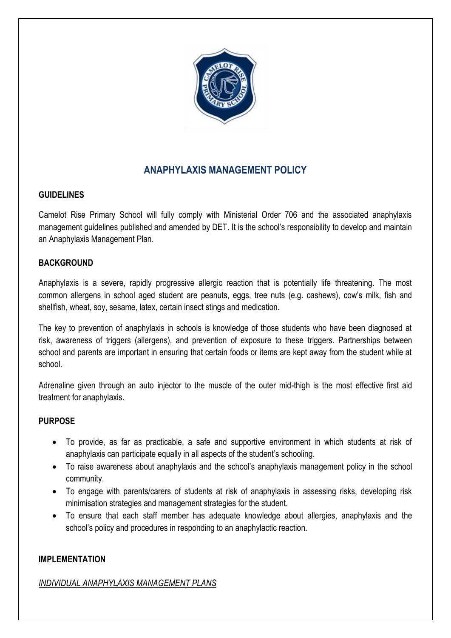

# **ANAPHYLAXIS MANAGEMENT POLICY**

#### **GUIDELINES**

Camelot Rise Primary School will fully comply with Ministerial Order 706 and the associated anaphylaxis management guidelines published and amended by DET. It is the school's responsibility to develop and maintain an Anaphylaxis Management Plan.

#### **BACKGROUND**

Anaphylaxis is a severe, rapidly progressive allergic reaction that is potentially life threatening. The most common allergens in school aged student are peanuts, eggs, tree nuts (e.g. cashews), cow's milk, fish and shellfish, wheat, soy, sesame, latex, certain insect stings and medication.

The key to prevention of anaphylaxis in schools is knowledge of those students who have been diagnosed at risk, awareness of triggers (allergens), and prevention of exposure to these triggers. Partnerships between school and parents are important in ensuring that certain foods or items are kept away from the student while at school.

Adrenaline given through an auto injector to the muscle of the outer mid-thigh is the most effective first aid treatment for anaphylaxis.

## **PURPOSE**

- To provide, as far as practicable, a safe and supportive environment in which students at risk of anaphylaxis can participate equally in all aspects of the student's schooling.
- To raise awareness about anaphylaxis and the school's anaphylaxis management policy in the school community.
- To engage with parents/carers of students at risk of anaphylaxis in assessing risks, developing risk minimisation strategies and management strategies for the student.
- To ensure that each staff member has adequate knowledge about allergies, anaphylaxis and the school's policy and procedures in responding to an anaphylactic reaction.

#### **IMPLEMENTATION**

#### *INDIVIDUAL ANAPHYLAXIS MANAGEMENT PLANS*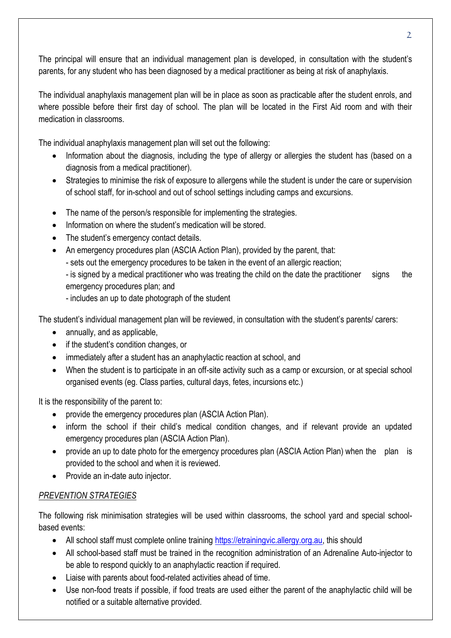The principal will ensure that an individual management plan is developed, in consultation with the student's parents, for any student who has been diagnosed by a medical practitioner as being at risk of anaphylaxis.

The individual anaphylaxis management plan will be in place as soon as practicable after the student enrols, and where possible before their first day of school. The plan will be located in the First Aid room and with their medication in classrooms.

The individual anaphylaxis management plan will set out the following:

- Information about the diagnosis, including the type of allergy or allergies the student has (based on a diagnosis from a medical practitioner).
- Strategies to minimise the risk of exposure to allergens while the student is under the care or supervision of school staff, for in-school and out of school settings including camps and excursions.
- The name of the person/s responsible for implementing the strategies.
- Information on where the student's medication will be stored.
- The student's emergency contact details.
- An emergency procedures plan (ASCIA Action Plan), provided by the parent, that:
	- sets out the emergency procedures to be taken in the event of an allergic reaction;

- is signed by a medical practitioner who was treating the child on the date the practitioner signs the emergency procedures plan; and

- includes an up to date photograph of the student

The student's individual management plan will be reviewed, in consultation with the student's parents/ carers:

- annually, and as applicable,
- if the student's condition changes, or
- immediately after a student has an anaphylactic reaction at school, and
- When the student is to participate in an off-site activity such as a camp or excursion, or at special school organised events (eg. Class parties, cultural days, fetes, incursions etc.)

It is the responsibility of the parent to:

- provide the emergency procedures plan (ASCIA Action Plan).
- inform the school if their child's medical condition changes, and if relevant provide an updated emergency procedures plan (ASCIA Action Plan).
- provide an up to date photo for the emergency procedures plan (ASCIA Action Plan) when the plan is provided to the school and when it is reviewed.
- Provide an in-date auto injector.

# *PREVENTION STRATEGIES*

The following risk minimisation strategies will be used within classrooms, the school yard and special schoolbased events:

- All school staff must complete online training [https://etrainingvic.allergy.org.au,](https://etrainingvic.allergy.org.au/) this should
- All school-based staff must be trained in the recognition administration of an Adrenaline Auto-injector to be able to respond quickly to an anaphylactic reaction if required.
- Liaise with parents about food-related activities ahead of time.
- Use non-food treats if possible, if food treats are used either the parent of the anaphylactic child will be notified or a suitable alternative provided.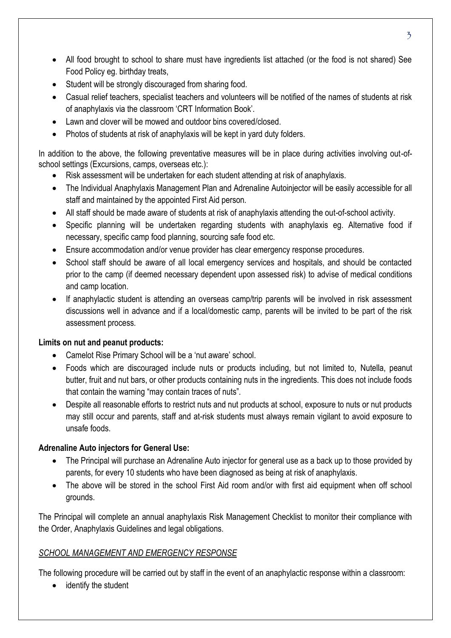- All food brought to school to share must have ingredients list attached (or the food is not shared) See Food Policy eg. birthday treats,
- Student will be strongly discouraged from sharing food.
- Casual relief teachers, specialist teachers and volunteers will be notified of the names of students at risk of anaphylaxis via the classroom 'CRT Information Book'.
- Lawn and clover will be mowed and outdoor bins covered/closed
- Photos of students at risk of anaphylaxis will be kept in yard duty folders.

In addition to the above, the following preventative measures will be in place during activities involving out-ofschool settings (Excursions, camps, overseas etc.):

- Risk assessment will be undertaken for each student attending at risk of anaphylaxis.
- The Individual Anaphylaxis Management Plan and Adrenaline Autoinjector will be easily accessible for all staff and maintained by the appointed First Aid person.
- All staff should be made aware of students at risk of anaphylaxis attending the out-of-school activity.
- Specific planning will be undertaken regarding students with anaphylaxis eg. Alternative food if necessary, specific camp food planning, sourcing safe food etc.
- Ensure accommodation and/or venue provider has clear emergency response procedures.
- School staff should be aware of all local emergency services and hospitals, and should be contacted prior to the camp (if deemed necessary dependent upon assessed risk) to advise of medical conditions and camp location.
- If anaphylactic student is attending an overseas camp/trip parents will be involved in risk assessment discussions well in advance and if a local/domestic camp, parents will be invited to be part of the risk assessment process.

## **Limits on nut and peanut products:**

- Camelot Rise Primary School will be a 'nut aware' school.
- Foods which are discouraged include nuts or products including, but not limited to, Nutella, peanut butter, fruit and nut bars, or other products containing nuts in the ingredients. This does not include foods that contain the warning "may contain traces of nuts".
- Despite all reasonable efforts to restrict nuts and nut products at school, exposure to nuts or nut products may still occur and parents, staff and at-risk students must always remain vigilant to avoid exposure to unsafe foods.

## **Adrenaline Auto injectors for General Use:**

- The Principal will purchase an Adrenaline Auto injector for general use as a back up to those provided by parents, for every 10 students who have been diagnosed as being at risk of anaphylaxis.
- The above will be stored in the school First Aid room and/or with first aid equipment when off school grounds.

The Principal will complete an annual anaphylaxis Risk Management Checklist to monitor their compliance with the Order, Anaphylaxis Guidelines and legal obligations.

## *SCHOOL MANAGEMENT AND EMERGENCY RESPONSE*

The following procedure will be carried out by staff in the event of an anaphylactic response within a classroom:

• identify the student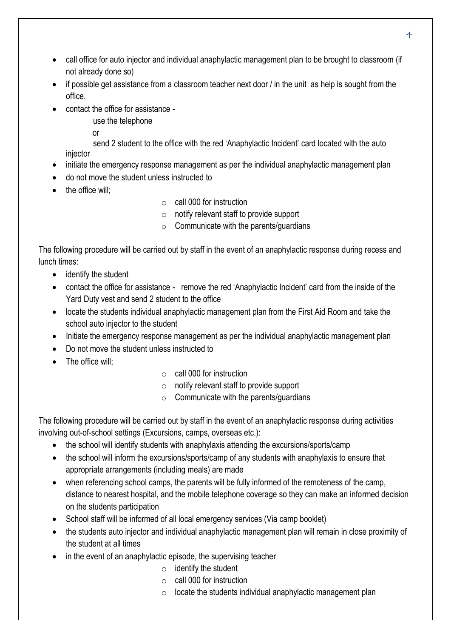- call office for auto injector and individual anaphylactic management plan to be brought to classroom (if not already done so)
- if possible get assistance from a classroom teacher next door / in the unit as help is sought from the office.
- contact the office for assistance
	- use the telephone

**or** *contract of the state of the state of the state of the state of the state of the state of the state of the state of the state of the state of the state of the state of the state of the state of the state of the state* 

send 2 student to the office with the red 'Anaphylactic Incident' card located with the auto injector

- initiate the emergency response management as per the individual anaphylactic management plan
- do not move the student unless instructed to
- the office will;
- $\circ$  call 000 for instruction
- o notify relevant staff to provide support
- $\circ$  Communicate with the parents/guardians

The following procedure will be carried out by staff in the event of an anaphylactic response during recess and lunch times:

- identify the student
- contact the office for assistance remove the red 'Anaphylactic Incident' card from the inside of the Yard Duty vest and send 2 student to the office
- locate the students individual anaphylactic management plan from the First Aid Room and take the school auto injector to the student
- Initiate the emergency response management as per the individual anaphylactic management plan
- Do not move the student unless instructed to
- The office will:
- $\circ$  call 000 for instruction
- $\circ$  notify relevant staff to provide support
- $\circ$  Communicate with the parents/guardians

The following procedure will be carried out by staff in the event of an anaphylactic response during activities involving out-of-school settings (Excursions, camps, overseas etc.):

- the school will identify students with anaphylaxis attending the excursions/sports/camp
- the school will inform the excursions/sports/camp of any students with anaphylaxis to ensure that appropriate arrangements (including meals) are made
- when referencing school camps, the parents will be fully informed of the remoteness of the camp, distance to nearest hospital, and the mobile telephone coverage so they can make an informed decision on the students participation
- School staff will be informed of all local emergency services (Via camp booklet)
- the students auto injector and individual anaphylactic management plan will remain in close proximity of the student at all times
- in the event of an anaphylactic episode, the supervising teacher
	- $\circ$  identify the student
	- $\circ$  call 000 for instruction
	- $\circ$  locate the students individual anaphylactic management plan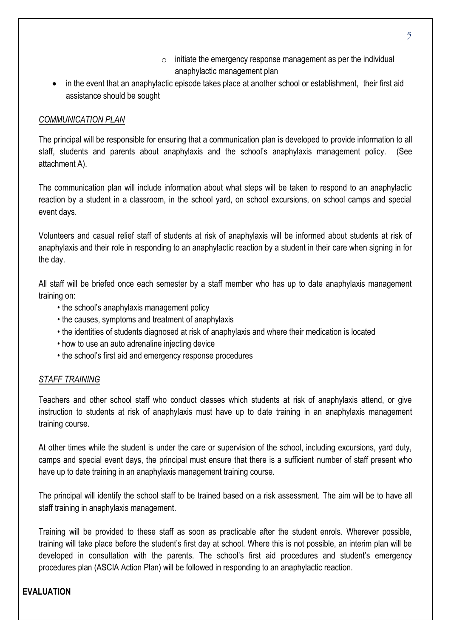- $\circ$  initiate the emergency response management as per the individual anaphylactic management plan
- in the event that an anaphylactic episode takes place at another school or establishment, their first aid assistance should be sought

#### *COMMUNICATION PLAN*

The principal will be responsible for ensuring that a communication plan is developed to provide information to all staff, students and parents about anaphylaxis and the school's anaphylaxis management policy. (See attachment A).

The communication plan will include information about what steps will be taken to respond to an anaphylactic reaction by a student in a classroom, in the school yard, on school excursions, on school camps and special event days.

Volunteers and casual relief staff of students at risk of anaphylaxis will be informed about students at risk of anaphylaxis and their role in responding to an anaphylactic reaction by a student in their care when signing in for the day.

All staff will be briefed once each semester by a staff member who has up to date anaphylaxis management training on:

- the school's anaphylaxis management policy
- the causes, symptoms and treatment of anaphylaxis
- the identities of students diagnosed at risk of anaphylaxis and where their medication is located
- how to use an auto adrenaline injecting device
- the school's first aid and emergency response procedures

#### *STAFF TRAINING*

Teachers and other school staff who conduct classes which students at risk of anaphylaxis attend, or give instruction to students at risk of anaphylaxis must have up to date training in an anaphylaxis management training course.

At other times while the student is under the care or supervision of the school, including excursions, yard duty, camps and special event days, the principal must ensure that there is a sufficient number of staff present who have up to date training in an anaphylaxis management training course.

The principal will identify the school staff to be trained based on a risk assessment. The aim will be to have all staff training in anaphylaxis management.

Training will be provided to these staff as soon as practicable after the student enrols. Wherever possible, training will take place before the student's first day at school. Where this is not possible, an interim plan will be developed in consultation with the parents. The school's first aid procedures and student's emergency procedures plan (ASCIA Action Plan) will be followed in responding to an anaphylactic reaction.

## **EVALUATION**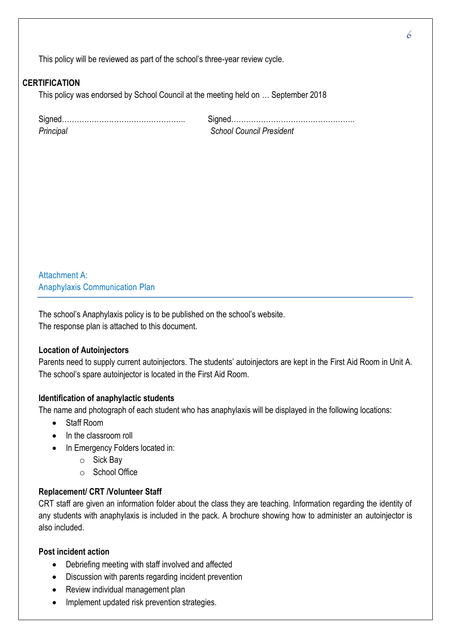This policy will be reviewed as part of the school's three-year review cycle.

#### **CERTIFICATION**

This policy was endorsed by School Council at the meeting held on … September 2018

| Principal |  |
|-----------|--|

Signed………………………………………….. Signed………………………………………….. **School Council President** 

Attachment A: Anaphylaxis Communication Plan

The school's Anaphylaxis policy is to be published on the school's website. The response plan is attached to this document.

#### **Location of Autoinjectors**

Parents need to supply current autoinjectors. The students' autoinjectors are kept in the First Aid Room in Unit A. The school's spare autoinjector is located in the First Aid Room.

#### **Identification of anaphylactic students**

The name and photograph of each student who has anaphylaxis will be displayed in the following locations:

- Staff Room
- In the classroom roll
- In Emergency Folders located in:
	- o Sick Bay
	- o School Office

#### **Replacement/ CRT /Volunteer Staff**

CRT staff are given an information folder about the class they are teaching. Information regarding the identity of any students with anaphylaxis is included in the pack. A brochure showing how to administer an autoinjector is also included.

#### **Post incident action**

- Debriefing meeting with staff involved and affected
- Discussion with parents regarding incident prevention
- Review individual management plan
- Implement updated risk prevention strategies.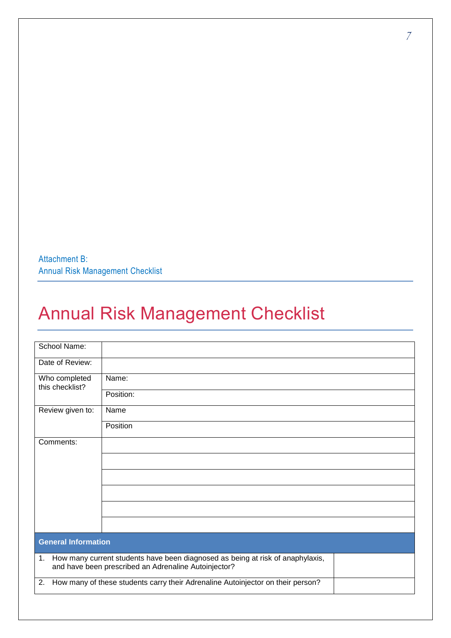Attachment B: Annual Risk Management Checklist

# Annual Risk Management Checklist

| School Name:                     |                                                                                                                                           |
|----------------------------------|-------------------------------------------------------------------------------------------------------------------------------------------|
| Date of Review:                  |                                                                                                                                           |
| Who completed<br>this checklist? | Name:                                                                                                                                     |
|                                  | Position:                                                                                                                                 |
| Review given to:                 | Name                                                                                                                                      |
|                                  | Position                                                                                                                                  |
| Comments:                        |                                                                                                                                           |
|                                  |                                                                                                                                           |
|                                  |                                                                                                                                           |
|                                  |                                                                                                                                           |
|                                  |                                                                                                                                           |
|                                  |                                                                                                                                           |
| <b>General Information</b>       |                                                                                                                                           |
|                                  | 1. How many current students have been diagnosed as being at risk of anaphylaxis,<br>and have been prescribed an Adrenaline Autoinjector? |
| 2.                               | How many of these students carry their Adrenaline Autoinjector on their person?                                                           |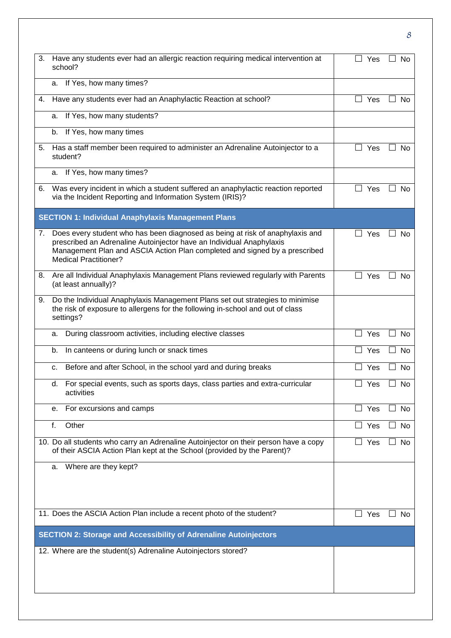| 3. | Have any students ever had an allergic reaction requiring medical intervention at<br>school?                                                                                                                                                                        | Yes                             | <b>No</b> |
|----|---------------------------------------------------------------------------------------------------------------------------------------------------------------------------------------------------------------------------------------------------------------------|---------------------------------|-----------|
|    | a. If Yes, how many times?                                                                                                                                                                                                                                          |                                 |           |
| 4. | Have any students ever had an Anaphylactic Reaction at school?                                                                                                                                                                                                      | $\Box$ Yes                      | No        |
|    | If Yes, how many students?<br>a.                                                                                                                                                                                                                                    |                                 |           |
|    | If Yes, how many times<br>b.                                                                                                                                                                                                                                        |                                 |           |
| 5. | Has a staff member been required to administer an Adrenaline Autoinjector to a<br>student?                                                                                                                                                                          | Yes                             | No        |
|    | a. If Yes, how many times?                                                                                                                                                                                                                                          |                                 |           |
| 6. | Was every incident in which a student suffered an anaphylactic reaction reported<br>via the Incident Reporting and Information System (IRIS)?                                                                                                                       | ⊔<br>Yes                        | No.       |
|    | <b>SECTION 1: Individual Anaphylaxis Management Plans</b>                                                                                                                                                                                                           |                                 |           |
| 7. | Does every student who has been diagnosed as being at risk of anaphylaxis and<br>prescribed an Adrenaline Autoinjector have an Individual Anaphylaxis<br>Management Plan and ASCIA Action Plan completed and signed by a prescribed<br><b>Medical Practitioner?</b> | Yes                             | No        |
|    | 8. Are all Individual Anaphylaxis Management Plans reviewed regularly with Parents<br>(at least annually)?                                                                                                                                                          | Yes                             | <b>No</b> |
| 9. | Do the Individual Anaphylaxis Management Plans set out strategies to minimise<br>the risk of exposure to allergens for the following in-school and out of class<br>settings?                                                                                        |                                 |           |
|    | During classroom activities, including elective classes<br>a.                                                                                                                                                                                                       | П<br>Yes                        | <b>No</b> |
|    | In canteens or during lunch or snack times<br>b.                                                                                                                                                                                                                    | Yes                             | No        |
|    | Before and after School, in the school yard and during breaks<br>c.                                                                                                                                                                                                 | Yes<br>$\overline{\phantom{0}}$ | No        |
|    | For special events, such as sports days, class parties and extra-curricular<br>d.<br>activities                                                                                                                                                                     | Yes                             | No        |
|    | For excursions and camps<br>е.                                                                                                                                                                                                                                      | $\Box$ Yes                      | No        |
|    | Other<br>f.                                                                                                                                                                                                                                                         | Yes<br>$\Box$                   | No        |
|    | 10. Do all students who carry an Adrenaline Autoinjector on their person have a copy<br>of their ASCIA Action Plan kept at the School (provided by the Parent)?                                                                                                     | $\Box$<br>Yes                   | No        |
|    | Where are they kept?<br>а.                                                                                                                                                                                                                                          |                                 |           |
|    | 11. Does the ASCIA Action Plan include a recent photo of the student?                                                                                                                                                                                               | Yes<br>$\Box$                   | <b>No</b> |
|    | <b>SECTION 2: Storage and Accessibility of Adrenaline Autoinjectors</b>                                                                                                                                                                                             |                                 |           |
|    | 12. Where are the student(s) Adrenaline Autoinjectors stored?                                                                                                                                                                                                       |                                 |           |
|    |                                                                                                                                                                                                                                                                     |                                 |           |
|    |                                                                                                                                                                                                                                                                     |                                 |           |

8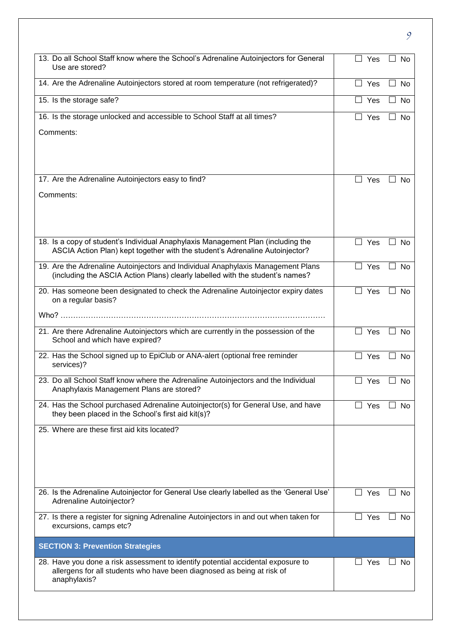| 13. Do all School Staff know where the School's Adrenaline Autoinjectors for General<br>Use are stored?                                                                    | $\overline{\phantom{a}}$<br>Yes | No                                    |
|----------------------------------------------------------------------------------------------------------------------------------------------------------------------------|---------------------------------|---------------------------------------|
| 14. Are the Adrenaline Autoinjectors stored at room temperature (not refrigerated)?                                                                                        | $\Box$ Yes                      | <b>No</b><br>$\Box$                   |
| 15. Is the storage safe?                                                                                                                                                   | Yes                             | No                                    |
| 16. Is the storage unlocked and accessible to School Staff at all times?                                                                                                   | ┓<br>Yes                        | No                                    |
| Comments:                                                                                                                                                                  |                                 |                                       |
| 17. Are the Adrenaline Autoinjectors easy to find?                                                                                                                         | □ Yes                           | <b>No</b>                             |
| Comments:                                                                                                                                                                  |                                 |                                       |
| 18. Is a copy of student's Individual Anaphylaxis Management Plan (including the<br>ASCIA Action Plan) kept together with the student's Adrenaline Autoinjector?           | $\Box$ Yes                      | $\Box$ No                             |
| 19. Are the Adrenaline Autoinjectors and Individual Anaphylaxis Management Plans<br>(including the ASCIA Action Plans) clearly labelled with the student's names?          | $\Box$<br>Yes                   | <b>No</b><br>$\overline{\phantom{a}}$ |
| 20. Has someone been designated to check the Adrenaline Autoinjector expiry dates<br>on a regular basis?                                                                   | $\Box$ Yes                      | No                                    |
|                                                                                                                                                                            |                                 |                                       |
| 21. Are there Adrenaline Autoinjectors which are currently in the possession of the<br>School and which have expired?                                                      | Yes<br>$\overline{\phantom{a}}$ | No                                    |
| 22. Has the School signed up to EpiClub or ANA-alert (optional free reminder<br>services)?                                                                                 | $\Box$<br>Yes                   | No<br>$\mathsf{L}$                    |
| 23. Do all School Staff know where the Adrenaline Autoinjectors and the Individual<br>Anaphylaxis Management Plans are stored?                                             | Yes                             | No                                    |
| 24. Has the School purchased Adrenaline Autoinjector(s) for General Use, and have<br>they been placed in the School's first aid kit(s)?                                    | Yes<br>$\Box$                   | No                                    |
| 25. Where are these first aid kits located?                                                                                                                                |                                 |                                       |
| 26. Is the Adrenaline Autoinjector for General Use clearly labelled as the 'General Use'<br>Adrenaline Autoinjector?                                                       | $\overline{\phantom{a}}$<br>Yes | <b>No</b>                             |
| 27. Is there a register for signing Adrenaline Autoinjectors in and out when taken for<br>excursions, camps etc?                                                           | Yes<br>$\blacksquare$           | <b>No</b>                             |
| <b>SECTION 3: Prevention Strategies</b>                                                                                                                                    |                                 |                                       |
| 28. Have you done a risk assessment to identify potential accidental exposure to<br>allergens for all students who have been diagnosed as being at risk of<br>anaphylaxis? | $\Box$ Yes                      | ∟l No                                 |
|                                                                                                                                                                            |                                 |                                       |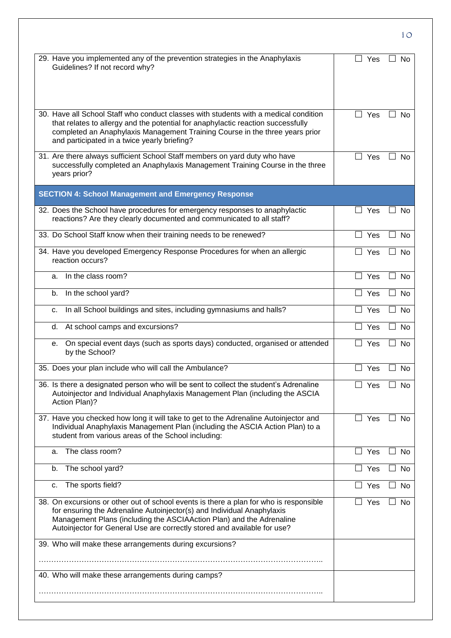| 29. Have you implemented any of the prevention strategies in the Anaphylaxis<br>Yes<br>$\blacksquare$<br>Guidelines? If not record why?<br>30. Have all School Staff who conduct classes with students with a medical condition<br>$\perp$<br>Yes<br>$\overline{\phantom{a}}$<br>that relates to allergy and the potential for anaphylactic reaction successfully<br>completed an Anaphylaxis Management Training Course in the three years prior<br>and participated in a twice yearly briefing?<br>31. Are there always sufficient School Staff members on yard duty who have<br>$\Box$<br>Yes<br>successfully completed an Anaphylaxis Management Training Course in the three<br>years prior?<br><b>SECTION 4: School Management and Emergency Response</b><br>32. Does the School have procedures for emergency responses to anaphylactic<br>Yes<br>$\Box$ | No<br><b>No</b><br>No |
|-----------------------------------------------------------------------------------------------------------------------------------------------------------------------------------------------------------------------------------------------------------------------------------------------------------------------------------------------------------------------------------------------------------------------------------------------------------------------------------------------------------------------------------------------------------------------------------------------------------------------------------------------------------------------------------------------------------------------------------------------------------------------------------------------------------------------------------------------------------------|-----------------------|
|                                                                                                                                                                                                                                                                                                                                                                                                                                                                                                                                                                                                                                                                                                                                                                                                                                                                 |                       |
|                                                                                                                                                                                                                                                                                                                                                                                                                                                                                                                                                                                                                                                                                                                                                                                                                                                                 |                       |
|                                                                                                                                                                                                                                                                                                                                                                                                                                                                                                                                                                                                                                                                                                                                                                                                                                                                 |                       |
|                                                                                                                                                                                                                                                                                                                                                                                                                                                                                                                                                                                                                                                                                                                                                                                                                                                                 |                       |
|                                                                                                                                                                                                                                                                                                                                                                                                                                                                                                                                                                                                                                                                                                                                                                                                                                                                 |                       |
| reactions? Are they clearly documented and communicated to all staff?                                                                                                                                                                                                                                                                                                                                                                                                                                                                                                                                                                                                                                                                                                                                                                                           | No                    |
| 33. Do School Staff know when their training needs to be renewed?<br>Yes                                                                                                                                                                                                                                                                                                                                                                                                                                                                                                                                                                                                                                                                                                                                                                                        | <b>No</b>             |
| 34. Have you developed Emergency Response Procedures for when an allergic<br>Yes<br>reaction occurs?                                                                                                                                                                                                                                                                                                                                                                                                                                                                                                                                                                                                                                                                                                                                                            | No                    |
| In the class room?<br>Yes<br>a.                                                                                                                                                                                                                                                                                                                                                                                                                                                                                                                                                                                                                                                                                                                                                                                                                                 | No                    |
| In the school yard?<br>$\vert \ \ \vert$<br>b.<br>Yes<br>$\blacksquare$                                                                                                                                                                                                                                                                                                                                                                                                                                                                                                                                                                                                                                                                                                                                                                                         | <b>No</b>             |
| In all School buildings and sites, including gymnasiums and halls?<br>$\perp$<br>Yes<br>c.<br>$\mathsf{L}$                                                                                                                                                                                                                                                                                                                                                                                                                                                                                                                                                                                                                                                                                                                                                      | <b>No</b>             |
| At school camps and excursions?<br>Yes<br>d.                                                                                                                                                                                                                                                                                                                                                                                                                                                                                                                                                                                                                                                                                                                                                                                                                    | No                    |
| On special event days (such as sports days) conducted, organised or attended<br>Yes<br>$\blacksquare$<br>е.<br>by the School?                                                                                                                                                                                                                                                                                                                                                                                                                                                                                                                                                                                                                                                                                                                                   | No                    |
| 35. Does your plan include who will call the Ambulance?<br>Yes                                                                                                                                                                                                                                                                                                                                                                                                                                                                                                                                                                                                                                                                                                                                                                                                  | No                    |
| 36. Is there a designated person who will be sent to collect the student's Adrenaline<br>$\Box$ Yes<br>Autoinjector and Individual Anaphylaxis Management Plan (including the ASCIA<br>Action Plan)?                                                                                                                                                                                                                                                                                                                                                                                                                                                                                                                                                                                                                                                            | $\Box$ No             |
| 37. Have you checked how long it will take to get to the Adrenaline Autoinjector and<br>$\Box$ Yes<br>Individual Anaphylaxis Management Plan (including the ASCIA Action Plan) to a<br>student from various areas of the School including:                                                                                                                                                                                                                                                                                                                                                                                                                                                                                                                                                                                                                      | $\Box$ No             |
| The class room?<br>Yes<br>a.                                                                                                                                                                                                                                                                                                                                                                                                                                                                                                                                                                                                                                                                                                                                                                                                                                    | No                    |
| The school yard?<br>$\Box$ Yes<br>b.                                                                                                                                                                                                                                                                                                                                                                                                                                                                                                                                                                                                                                                                                                                                                                                                                            | No                    |
| The sports field?<br>$\Box$ Yes<br>c.                                                                                                                                                                                                                                                                                                                                                                                                                                                                                                                                                                                                                                                                                                                                                                                                                           | No                    |
| 38. On excursions or other out of school events is there a plan for who is responsible<br>Yes<br>$\Box$<br>$\blacksquare$<br>for ensuring the Adrenaline Autoinjector(s) and Individual Anaphylaxis<br>Management Plans (including the ASCIAAction Plan) and the Adrenaline<br>Autoinjector for General Use are correctly stored and available for use?                                                                                                                                                                                                                                                                                                                                                                                                                                                                                                         | No                    |
| 39. Who will make these arrangements during excursions?                                                                                                                                                                                                                                                                                                                                                                                                                                                                                                                                                                                                                                                                                                                                                                                                         |                       |
|                                                                                                                                                                                                                                                                                                                                                                                                                                                                                                                                                                                                                                                                                                                                                                                                                                                                 |                       |
| 40. Who will make these arrangements during camps?                                                                                                                                                                                                                                                                                                                                                                                                                                                                                                                                                                                                                                                                                                                                                                                                              |                       |

10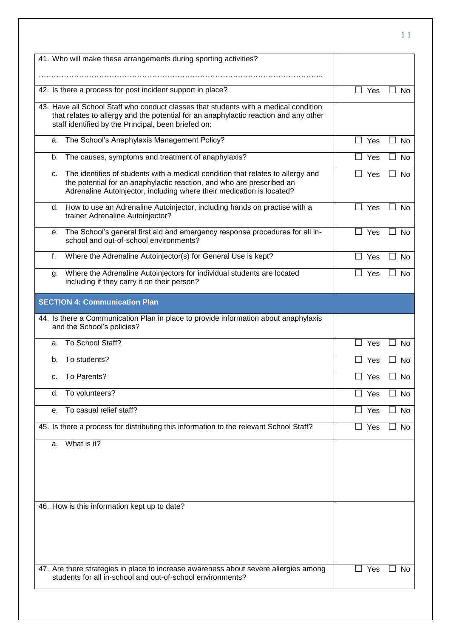| 41. Who will make these arrangements during sporting activities?                                                                                                                                                                        |                                    |
|-----------------------------------------------------------------------------------------------------------------------------------------------------------------------------------------------------------------------------------------|------------------------------------|
|                                                                                                                                                                                                                                         |                                    |
| 42. Is there a process for post incident support in place?                                                                                                                                                                              | $\vert \ \ \vert$<br>Yes<br>No     |
| 43. Have all School Staff who conduct classes that students with a medical condition<br>that relates to allergy and the potential for an anaphylactic reaction and any other<br>staff identified by the Principal, been briefed on:     |                                    |
| The School's Anaphylaxis Management Policy?<br>a.                                                                                                                                                                                       | П<br>Yes<br><b>No</b>              |
| The causes, symptoms and treatment of anaphylaxis?<br>b.                                                                                                                                                                                | П.<br>Yes<br><b>No</b>             |
| The identities of students with a medical condition that relates to allergy and<br>C.<br>the potential for an anaphylactic reaction, and who are prescribed an<br>Adrenaline Autoinjector, including where their medication is located? | $\Box$ Yes<br>No<br>$\Box$         |
| How to use an Adrenaline Autoinjector, including hands on practise with a<br>d.<br>trainer Adrenaline Autoinjector?                                                                                                                     | $\Box$ Yes<br><b>No</b>            |
| The School's general first aid and emergency response procedures for all in-<br>е.<br>school and out-of-school environments?                                                                                                            | $\Box$ Yes<br>No                   |
| f.<br>Where the Adrenaline Autoinjector(s) for General Use is kept?                                                                                                                                                                     | $\Box$ Yes<br>$\perp$<br><b>No</b> |
| Where the Adrenaline Autoinjectors for individual students are located<br>g.<br>including if they carry it on their person?                                                                                                             | $\Box$ Yes<br><b>No</b>            |
| <b>SECTION 4: Communication Plan</b>                                                                                                                                                                                                    |                                    |
| 44. Is there a Communication Plan in place to provide information about anaphylaxis<br>and the School's policies?                                                                                                                       |                                    |
| To School Staff?<br>a.                                                                                                                                                                                                                  | Yes<br>$\vert \ \ \vert$<br>No     |
| To students?<br>b.                                                                                                                                                                                                                      | No<br>Yes                          |
| To Parents?<br>C.                                                                                                                                                                                                                       | No<br>Yes                          |
| To volunteers?<br>d.                                                                                                                                                                                                                    | Yes<br>No                          |
| To casual relief staff?<br>е.                                                                                                                                                                                                           | $\Box$ Yes<br>No                   |
| 45. Is there a process for distributing this information to the relevant School Staff?                                                                                                                                                  | П<br>Yes<br>No                     |
| What is it?<br>a.                                                                                                                                                                                                                       |                                    |
| 46. How is this information kept up to date?                                                                                                                                                                                            |                                    |
|                                                                                                                                                                                                                                         |                                    |
| 47. Are there strategies in place to increase awareness about severe allergies among<br>students for all in-school and out-of-school environments?                                                                                      | Yes<br>No                          |
|                                                                                                                                                                                                                                         |                                    |